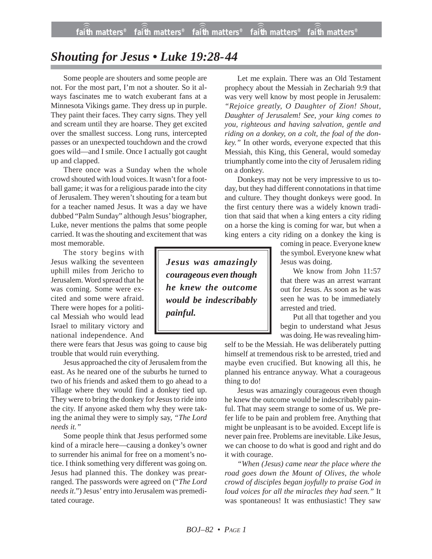## *Shouting for Jesus • Luke 19:28-44*

Some people are shouters and some people are not. For the most part, I'm not a shouter. So it always fascinates me to watch exuberant fans at a Minnesota Vikings game. They dress up in purple. They paint their faces. They carry signs. They yell and scream until they are hoarse. They get excited over the smallest success. Long runs, intercepted passes or an unexpected touchdown and the crowd goes wild—and I smile. Once I actually got caught up and clapped.

There once was a Sunday when the whole crowd shouted with loud voices. It wasn't for a football game; it was for a religious parade into the city of Jerusalem. They weren't shouting for a team but for a teacher named Jesus. It was a day we have dubbed "Palm Sunday" although Jesus' biographer, Luke, never mentions the palms that some people carried. It was the shouting and excitement that was most memorable.

The story begins with Jesus walking the seventeen uphill miles from Jericho to Jerusalem. Word spread that he was coming. Some were excited and some were afraid. There were hopes for a political Messiah who would lead Israel to military victory and national independence. And

there were fears that Jesus was going to cause big trouble that would ruin everything.

Jesus approached the city of Jerusalem from the east. As he neared one of the suburbs he turned to two of his friends and asked them to go ahead to a village where they would find a donkey tied up. They were to bring the donkey for Jesus to ride into the city. If anyone asked them why they were taking the animal they were to simply say, *"The Lord needs it."*

Some people think that Jesus performed some kind of a miracle here—causing a donkey's owner to surrender his animal for free on a moment's notice. I think something very different was going on. Jesus had planned this. The donkey was prearranged. The passwords were agreed on ("*The Lord needs it*.") Jesus' entry into Jerusalem was premeditated courage.

Let me explain. There was an Old Testament prophecy about the Messiah in Zechariah 9:9 that was very well know by most people in Jerusalem: *"Rejoice greatly, O Daughter of Zion! Shout, Daughter of Jerusalem! See, your king comes to you, righteous and having salvation, gentle and riding on a donkey, on a colt, the foal of the donkey."* In other words, everyone expected that this Messiah, this King, this General, would someday triumphantly come into the city of Jerusalem riding on a donkey.

Donkeys may not be very impressive to us today, but they had different connotations in that time and culture. They thought donkeys were good. In the first century there was a widely known tradition that said that when a king enters a city riding on a horse the king is coming for war, but when a king enters a city riding on a donkey the king is

> coming in peace. Everyone knew the symbol. Everyone knew what Jesus was doing.

> We know from John 11:57 that there was an arrest warrant out for Jesus. As soon as he was seen he was to be immediately arrested and tried.

Put all that together and you begin to understand what Jesus was doing. He was revealing him-

self to be the Messiah. He was deliberately putting himself at tremendous risk to be arrested, tried and maybe even crucified. But knowing all this, he planned his entrance anyway. What a courageous thing to do!

Jesus was amazingly courageous even though he knew the outcome would be indescribably painful. That may seem strange to some of us. We prefer life to be pain and problem free. Anything that might be unpleasant is to be avoided. Except life is never pain free. Problems are inevitable. Like Jesus, we can choose to do what is good and right and do it with courage.

*"When (Jesus) came near the place where the road goes down the Mount of Olives, the whole crowd of disciples began joyfully to praise God in loud voices for all the miracles they had seen."* It was spontaneous! It was enthusiastic! They saw

*Jesus was amazingly courageous even though he knew the outcome would be indescribably painful.*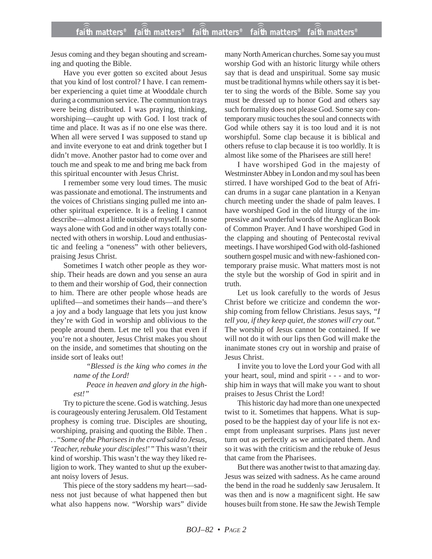Jesus coming and they began shouting and screaming and quoting the Bible.

Have you ever gotten so excited about Jesus that you kind of lost control? I have. I can remember experiencing a quiet time at Wooddale church during a communion service. The communion trays were being distributed. I was praying, thinking, worshiping—caught up with God. I lost track of time and place. It was as if no one else was there. When all were served I was supposed to stand up and invite everyone to eat and drink together but I didn't move. Another pastor had to come over and touch me and speak to me and bring me back from this spiritual encounter with Jesus Christ.

I remember some very loud times. The music was passionate and emotional. The instruments and the voices of Christians singing pulled me into another spiritual experience. It is a feeling I cannot describe—almost a little outside of myself. In some ways alone with God and in other ways totally connected with others in worship. Loud and enthusiastic and feeling a "oneness" with other believers, praising Jesus Christ.

Sometimes I watch other people as they worship. Their heads are down and you sense an aura to them and their worship of God, their connection to him. There are other people whose heads are uplifted—and sometimes their hands—and there's a joy and a body language that lets you just know they're with God in worship and oblivious to the people around them. Let me tell you that even if you're not a shouter, Jesus Christ makes you shout on the inside, and sometimes that shouting on the inside sort of leaks out!

> *"Blessed is the king who comes in the name of the Lord!*

> *Peace in heaven and glory in the highest!"*

Try to picture the scene. God is watching. Jesus is courageously entering Jerusalem. Old Testament prophesy is coming true. Disciples are shouting, worshiping, praising and quoting the Bible. Then . . . "*Some of the Pharisees in the crowd said to Jesus, 'Teacher, rebuke your disciples!*' " This wasn't their kind of worship. This wasn't the way they liked religion to work. They wanted to shut up the exuberant noisy lovers of Jesus.

This piece of the story saddens my heart—sadness not just because of what happened then but what also happens now. "Worship wars" divide many North American churches. Some say you must worship God with an historic liturgy while others say that is dead and unspiritual. Some say music must be traditional hymns while others say it is better to sing the words of the Bible. Some say you must be dressed up to honor God and others say such formality does not please God. Some say contemporary music touches the soul and connects with God while others say it is too loud and it is not worshipful. Some clap because it is biblical and others refuse to clap because it is too worldly. It is almost like some of the Pharisees are still here!

I have worshiped God in the majesty of Westminster Abbey in London and my soul has been stirred. I have worshiped God to the beat of African drums in a sugar cane plantation in a Kenyan church meeting under the shade of palm leaves. I have worshiped God in the old liturgy of the impressive and wonderful words of the Anglican Book of Common Prayer. And I have worshiped God in the clapping and shouting of Pentecostal revival meetings. I have worshiped God with old-fashioned southern gospel music and with new-fashioned contemporary praise music. What matters most is not the style but the worship of God in spirit and in truth.

Let us look carefully to the words of Jesus Christ before we criticize and condemn the worship coming from fellow Christians. Jesus says, *"I tell you, if they keep quiet, the stones will cry out."* The worship of Jesus cannot be contained. If we will not do it with our lips then God will make the inanimate stones cry out in worship and praise of Jesus Christ.

I invite you to love the Lord your God with all your heart, soul, mind and spirit - - - and to worship him in ways that will make you want to shout praises to Jesus Christ the Lord!

This historic day had more than one unexpected twist to it. Sometimes that happens. What is supposed to be the happiest day of your life is not exempt from unpleasant surprises. Plans just never turn out as perfectly as we anticipated them. And so it was with the criticism and the rebuke of Jesus that came from the Pharisees.

But there was another twist to that amazing day. Jesus was seized with sadness. As he came around the bend in the road he suddenly saw Jerusalem. It was then and is now a magnificent sight. He saw houses built from stone. He saw the Jewish Temple